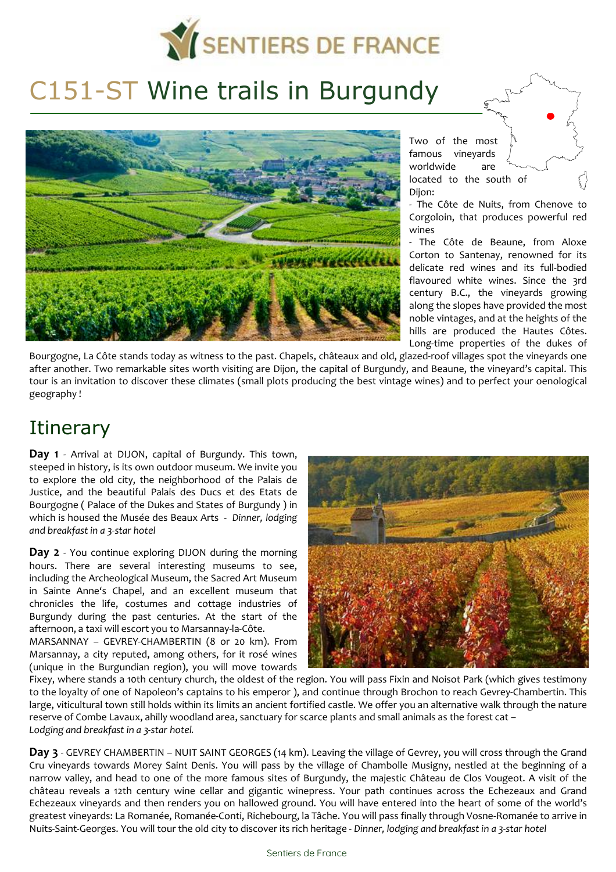

# C151-ST Wine trails in Burgundy



Two of the most famous vineyards worldwide are located to the south of Dijon:

- The Côte de Nuits, from Chenove to Corgoloin, that produces powerful red wines

- The Côte de Beaune, from Aloxe Corton to Santenay, renowned for its delicate red wines and its full-bodied flavoured white wines. Since the 3rd century B.C., the vineyards growing along the slopes have provided the most noble vintages, and at the heights of the hills are produced the Hautes Côtes. Long-time properties of the dukes of

Bourgogne, La Côte stands today as witness to the past. Chapels, châteaux and old, glazed-roof villages spot the vineyards one after another. Two remarkable sites worth visiting are Dijon, the capital of Burgundy, and Beaune, the vineyard's capital. This tour is an invitation to discover these climates (small plots producing the best vintage wines) and to perfect your oenological geography !

## **Itinerary**

**Day 1** - Arrival at DIJON, capital of Burgundy. This town, steeped in history, is its own outdoor museum. We invite you to explore the old city, the neighborhood of the Palais de Justice, and the beautiful Palais des Ducs et des Etats de Bourgogne ( Palace of the Dukes and States of Burgundy ) in which is housed the Musée des Beaux Arts - *Dinner, lodging and breakfast in a 3-star hotel* 

**Day 2** - You continue exploring DIJON during the morning hours. There are several interesting museums to see, including the Archeological Museum, the Sacred Art Museum in Sainte Anne's Chapel, and an excellent museum that chronicles the life, costumes and cottage industries of Burgundy during the past centuries. At the start of the afternoon, a taxi will escort you to Marsannay-la-Côte.

MARSANNAY – GEVREY-CHAMBERTIN (8 or 20 km). From Marsannay, a city reputed, among others, for it rosé wines (unique in the Burgundian region), you will move towards



Fixey, where stands a 10th century church, the oldest of the region. You will pass Fixin and Noisot Park (which gives testimony to the loyalty of one of Napoleon's captains to his emperor ), and continue through Brochon to reach Gevrey-Chambertin. This large, viticultural town still holds within its limits an ancient fortified castle. We offer you an alternative walk through the nature reserve of Combe Lavaux, ahilly woodland area, sanctuary for scarce plants and small animals as the forest cat – *Lodging and breakfast in a 3-star hotel.*

**Day 3** - GEVREY CHAMBERTIN – NUIT SAINT GEORGES (14 km). Leaving the village of Gevrey, you will cross through the Grand Cru vineyards towards Morey Saint Denis. You will pass by the village of Chambolle Musigny, nestled at the beginning of a narrow valley, and head to one of the more famous sites of Burgundy, the majestic Château de Clos Vougeot. A visit of the château reveals a 12th century wine cellar and gigantic winepress. Your path continues across the Echezeaux and Grand Echezeaux vineyards and then renders you on hallowed ground. You will have entered into the heart of some of the world's greatest vineyards: La Romanée, Romanée-Conti, Richebourg, la Tâche. You will pass finally through Vosne-Romanée to arrive in Nuits-Saint-Georges. You will tour the old city to discover its rich heritage - *Dinner, lodging and breakfast in a 3-star hotel*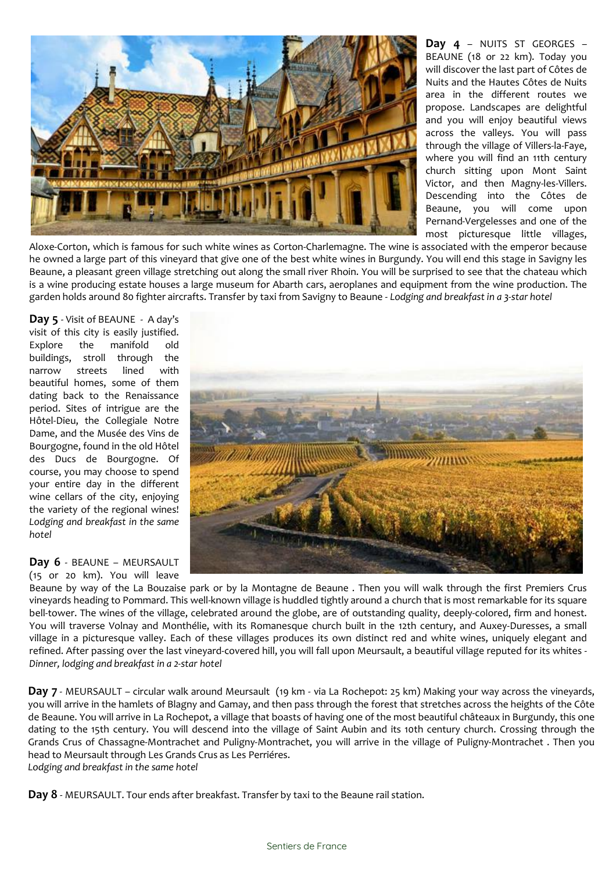

**Day 4** – NUITS ST GEORGES – BEAUNE (18 or 22 km). Today you will discover the last part of Côtes de Nuits and the Hautes Côtes de Nuits area in the different routes we propose. Landscapes are delightful and you will enjoy beautiful views across the valleys. You will pass through the village of Villers-la-Faye, where you will find an 11th century church sitting upon Mont Saint Victor, and then Magny-les-Villers. Descending into the Côtes de Beaune, you will come upon Pernand-Vergelesses and one of the most picturesque little villages,

Aloxe-Corton, which is famous for such white wines as Corton-Charlemagne. The wine is associated with the emperor because he owned a large part of this vineyard that give one of the best white wines in Burgundy. You will end this stage in Savigny les Beaune, a pleasant green village stretching out along the small river Rhoin. You will be surprised to see that the chateau which is a wine producing estate houses a large museum for Abarth cars, aeroplanes and equipment from the wine production. The garden holds around 80 fighter aircrafts. Transfer by taxi from Savigny to Beaune - *Lodging and breakfast in a 3-star hotel* 

**Day 5** - Visit of BEAUNE - A day's visit of this city is easily justified. Explore the manifold old buildings, stroll through the narrow streets lined with beautiful homes, some of them dating back to the Renaissance period. Sites of intrigue are the Hôtel-Dieu, the Collegiale Notre Dame, and the Musée des Vins de Bourgogne, found in the old Hôtel des Ducs de Bourgogne. Of course, you may choose to spend your entire day in the different wine cellars of the city, enjoying the variety of the regional wines! *Lodging and breakfast in the same hotel*



Beaune by way of the La Bouzaise park or by la Montagne de Beaune . Then you will walk through the first Premiers Crus vineyards heading to Pommard. This well-known village is huddled tightly around a church that is most remarkable for its square bell-tower. The wines of the village, celebrated around the globe, are of outstanding quality, deeply-colored, firm and honest. You will traverse Volnay and Monthélie, with its Romanesque church built in the 12th century, and Auxey-Duresses, a small village in a picturesque valley. Each of these villages produces its own distinct red and white wines, uniquely elegant and refined. After passing over the last vineyard-covered hill, you will fall upon Meursault, a beautiful village reputed for its whites - *Dinner, lodging and breakfast in a 2-star hotel*

**Day 7** - MEURSAULT – circular walk around Meursault (19 km - via La Rochepot: 25 km) Making your way across the vineyards, you will arrive in the hamlets of Blagny and Gamay, and then pass through the forest that stretches across the heights of the Côte de Beaune. You will arrive in La Rochepot, a village that boasts of having one of the most beautiful châteaux in Burgundy, this one dating to the 15th century. You will descend into the village of Saint Aubin and its 10th century church. Crossing through the Grands Crus of Chassagne-Montrachet and Puligny-Montrachet, you will arrive in the village of Puligny-Montrachet . Then you head to Meursault through Les Grands Crus as Les Perriéres. *Lodging and breakfast in the same hotel*

**Day 8** - MEURSAULT. Tour ends after breakfast. Transfer by taxi to the Beaune rail station.